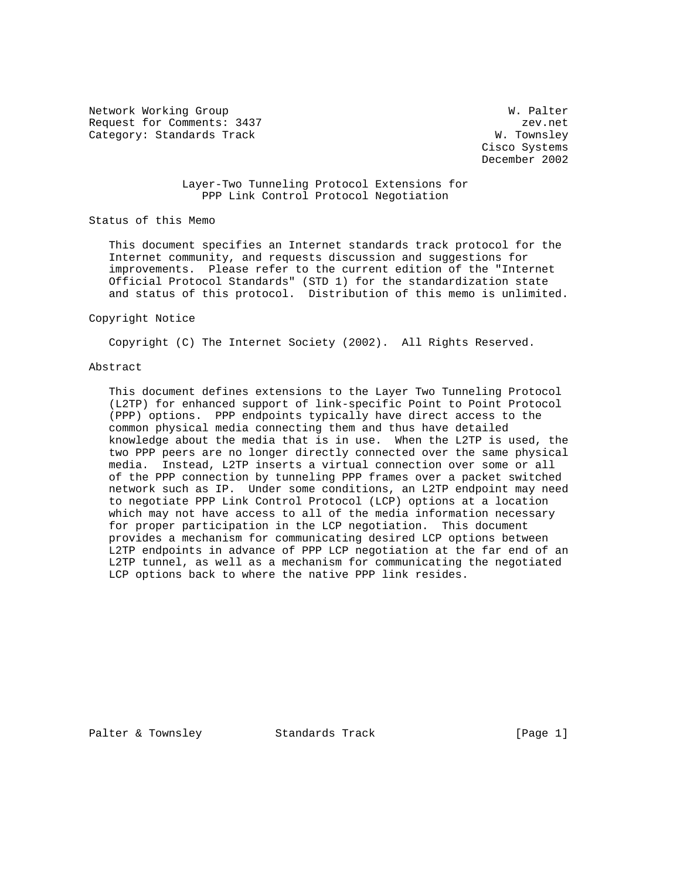Network Working Group Website Communications and Website W. Palter Request for Comments: 3437 zev.net Category: Standards Track W. Townsley

 Cisco Systems December 2002

 Layer-Two Tunneling Protocol Extensions for PPP Link Control Protocol Negotiation

Status of this Memo

 This document specifies an Internet standards track protocol for the Internet community, and requests discussion and suggestions for improvements. Please refer to the current edition of the "Internet Official Protocol Standards" (STD 1) for the standardization state and status of this protocol. Distribution of this memo is unlimited.

#### Copyright Notice

Copyright (C) The Internet Society (2002). All Rights Reserved.

### Abstract

 This document defines extensions to the Layer Two Tunneling Protocol (L2TP) for enhanced support of link-specific Point to Point Protocol (PPP) options. PPP endpoints typically have direct access to the common physical media connecting them and thus have detailed knowledge about the media that is in use. When the L2TP is used, the two PPP peers are no longer directly connected over the same physical media. Instead, L2TP inserts a virtual connection over some or all of the PPP connection by tunneling PPP frames over a packet switched network such as IP. Under some conditions, an L2TP endpoint may need to negotiate PPP Link Control Protocol (LCP) options at a location which may not have access to all of the media information necessary for proper participation in the LCP negotiation. This document provides a mechanism for communicating desired LCP options between L2TP endpoints in advance of PPP LCP negotiation at the far end of an L2TP tunnel, as well as a mechanism for communicating the negotiated LCP options back to where the native PPP link resides.

Palter & Townsley Standards Track [Page 1]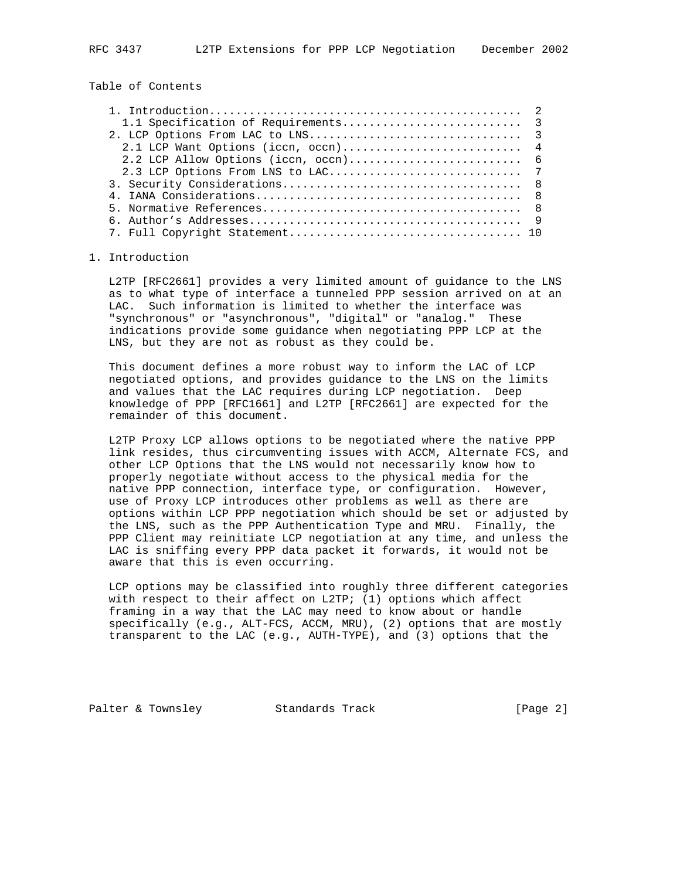Table of Contents

### 1. Introduction

 L2TP [RFC2661] provides a very limited amount of guidance to the LNS as to what type of interface a tunneled PPP session arrived on at an LAC. Such information is limited to whether the interface was "synchronous" or "asynchronous", "digital" or "analog." These indications provide some guidance when negotiating PPP LCP at the LNS, but they are not as robust as they could be.

 This document defines a more robust way to inform the LAC of LCP negotiated options, and provides guidance to the LNS on the limits and values that the LAC requires during LCP negotiation. Deep knowledge of PPP [RFC1661] and L2TP [RFC2661] are expected for the remainder of this document.

 L2TP Proxy LCP allows options to be negotiated where the native PPP link resides, thus circumventing issues with ACCM, Alternate FCS, and other LCP Options that the LNS would not necessarily know how to properly negotiate without access to the physical media for the native PPP connection, interface type, or configuration. However, use of Proxy LCP introduces other problems as well as there are options within LCP PPP negotiation which should be set or adjusted by the LNS, such as the PPP Authentication Type and MRU. Finally, the PPP Client may reinitiate LCP negotiation at any time, and unless the LAC is sniffing every PPP data packet it forwards, it would not be aware that this is even occurring.

 LCP options may be classified into roughly three different categories with respect to their affect on L2TP; (1) options which affect framing in a way that the LAC may need to know about or handle specifically (e.g., ALT-FCS, ACCM, MRU), (2) options that are mostly transparent to the LAC (e.g., AUTH-TYPE), and (3) options that the

Palter & Townsley Standards Track [Page 2]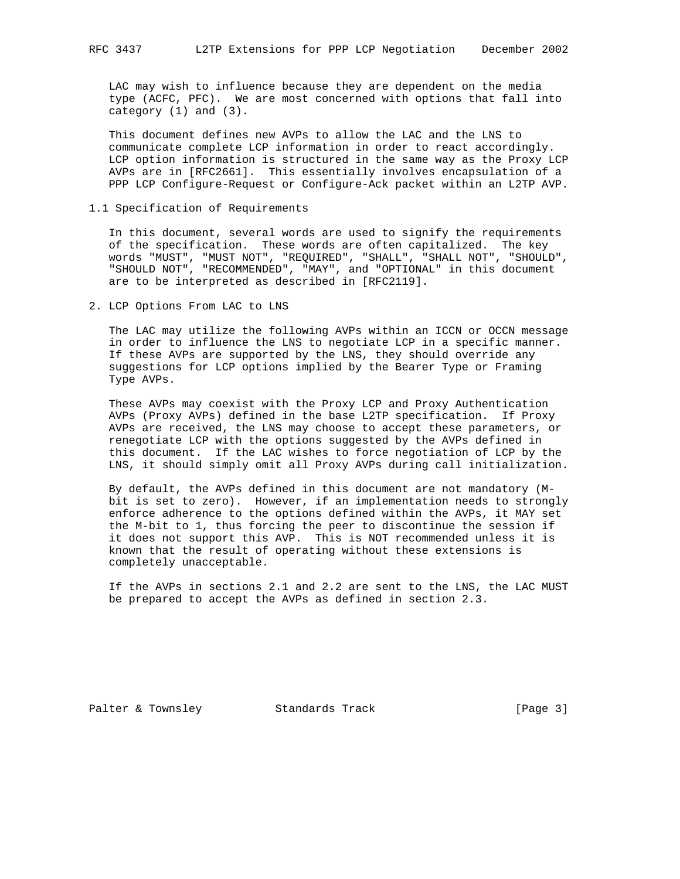LAC may wish to influence because they are dependent on the media type (ACFC, PFC). We are most concerned with options that fall into category (1) and (3).

 This document defines new AVPs to allow the LAC and the LNS to communicate complete LCP information in order to react accordingly. LCP option information is structured in the same way as the Proxy LCP AVPs are in [RFC2661]. This essentially involves encapsulation of a PPP LCP Configure-Request or Configure-Ack packet within an L2TP AVP.

1.1 Specification of Requirements

 In this document, several words are used to signify the requirements of the specification. These words are often capitalized. The key words "MUST", "MUST NOT", "REQUIRED", "SHALL", "SHALL NOT", "SHOULD", "SHOULD NOT", "RECOMMENDED", "MAY", and "OPTIONAL" in this document are to be interpreted as described in [RFC2119].

2. LCP Options From LAC to LNS

 The LAC may utilize the following AVPs within an ICCN or OCCN message in order to influence the LNS to negotiate LCP in a specific manner. If these AVPs are supported by the LNS, they should override any suggestions for LCP options implied by the Bearer Type or Framing Type AVPs.

 These AVPs may coexist with the Proxy LCP and Proxy Authentication AVPs (Proxy AVPs) defined in the base L2TP specification. If Proxy AVPs are received, the LNS may choose to accept these parameters, or renegotiate LCP with the options suggested by the AVPs defined in this document. If the LAC wishes to force negotiation of LCP by the LNS, it should simply omit all Proxy AVPs during call initialization.

 By default, the AVPs defined in this document are not mandatory (M bit is set to zero). However, if an implementation needs to strongly enforce adherence to the options defined within the AVPs, it MAY set the M-bit to 1, thus forcing the peer to discontinue the session if it does not support this AVP. This is NOT recommended unless it is known that the result of operating without these extensions is completely unacceptable.

 If the AVPs in sections 2.1 and 2.2 are sent to the LNS, the LAC MUST be prepared to accept the AVPs as defined in section 2.3.

Palter & Townsley Standards Track [Page 3]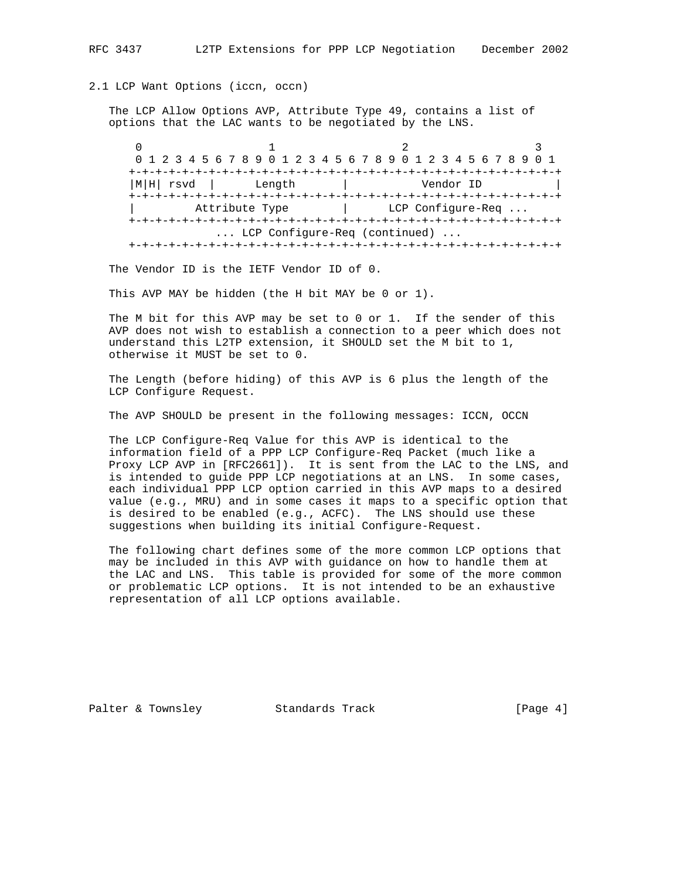### 2.1 LCP Want Options (iccn, occn)

 The LCP Allow Options AVP, Attribute Type 49, contains a list of options that the LAC wants to be negotiated by the LNS.

0  $1$  2 3 0 1 2 3 4 5 6 7 8 9 0 1 2 3 4 5 6 7 8 9 0 1 2 3 4 5 6 7 8 9 0 1 +-+-+-+-+-+-+-+-+-+-+-+-+-+-+-+-+-+-+-+-+-+-+-+-+-+-+-+-+-+-+-+-+ |M|H| rsvd | Length | Vendor ID | +-+-+-+-+-+-+-+-+-+-+-+-+-+-+-+-+-+-+-+-+-+-+-+-+-+-+-+-+-+-+-+-+ Attribute Type  $\vert$  LCP Configure-Req ... +-+-+-+-+-+-+-+-+-+-+-+-+-+-+-+-+-+-+-+-+-+-+-+-+-+-+-+-+-+-+-+-+ ... LCP Configure-Req (continued) ... +-+-+-+-+-+-+-+-+-+-+-+-+-+-+-+-+-+-+-+-+-+-+-+-+-+-+-+-+-+-+-+-+

The Vendor ID is the IETF Vendor ID of 0.

This AVP MAY be hidden (the H bit MAY be 0 or 1).

 The M bit for this AVP may be set to 0 or 1. If the sender of this AVP does not wish to establish a connection to a peer which does not understand this L2TP extension, it SHOULD set the M bit to 1, otherwise it MUST be set to 0.

 The Length (before hiding) of this AVP is 6 plus the length of the LCP Configure Request.

The AVP SHOULD be present in the following messages: ICCN, OCCN

 The LCP Configure-Req Value for this AVP is identical to the information field of a PPP LCP Configure-Req Packet (much like a Proxy LCP AVP in [RFC2661]). It is sent from the LAC to the LNS, and is intended to guide PPP LCP negotiations at an LNS. In some cases, each individual PPP LCP option carried in this AVP maps to a desired value (e.g., MRU) and in some cases it maps to a specific option that is desired to be enabled (e.g., ACFC). The LNS should use these suggestions when building its initial Configure-Request.

 The following chart defines some of the more common LCP options that may be included in this AVP with guidance on how to handle them at the LAC and LNS. This table is provided for some of the more common or problematic LCP options. It is not intended to be an exhaustive representation of all LCP options available.

Palter & Townsley Standards Track [Page 4]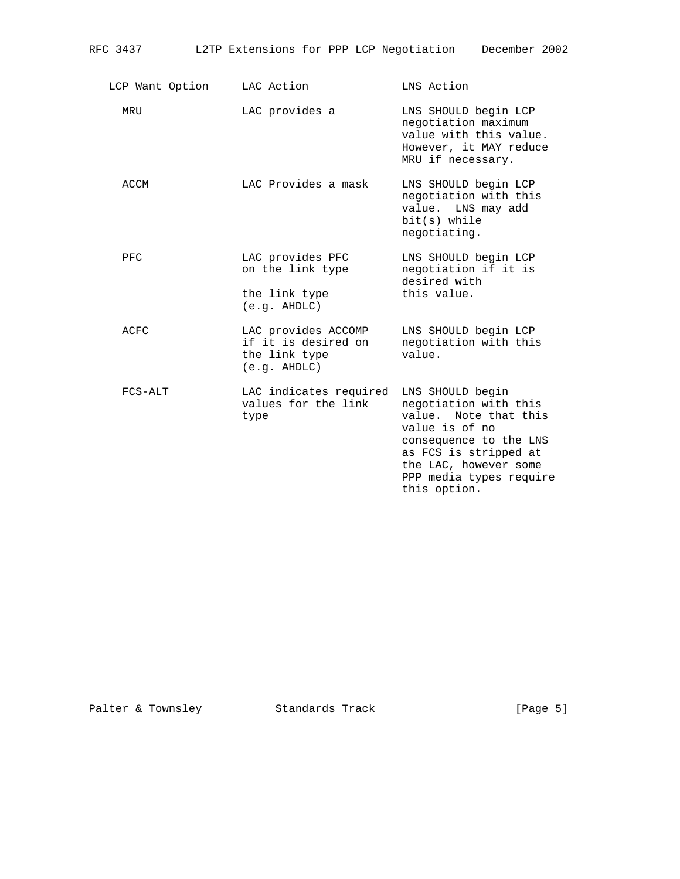| L2TP Extensions for PPP LCP Negotiation<br>RFC 3437 |  | December 2002 |
|-----------------------------------------------------|--|---------------|
|-----------------------------------------------------|--|---------------|

| LCP Want Option | LAC Action                                                                  | LNS Action                                                                                                                                                                                                  |
|-----------------|-----------------------------------------------------------------------------|-------------------------------------------------------------------------------------------------------------------------------------------------------------------------------------------------------------|
| MRU             | LAC provides a                                                              | LNS SHOULD begin LCP<br>negotiation maximum<br>value with this value.<br>However, it MAY reduce<br>MRU if necessary.                                                                                        |
| ACCM            | LAC Provides a mask                                                         | LNS SHOULD begin LCP<br>negotiation with this<br>value. LNS may add<br>$bit(s)$ while<br>negotiating.                                                                                                       |
| PFC             | LAC provides PFC<br>on the link type<br>the link type<br>(e.g. AHDLC)       | LNS SHOULD begin LCP<br>negotiation if it is<br>desired with<br>this value.                                                                                                                                 |
| ACFC            | LAC provides ACCOMP<br>if it is desired on<br>the link type<br>(e.g. AHDLC) | LNS SHOULD begin LCP<br>negotiation with this<br>value.                                                                                                                                                     |
| FCS-ALT         | LAC indicates required<br>values for the link<br>type                       | LNS SHOULD begin<br>negotiation with this<br>value. Note that this<br>value is of no<br>consequence to the LNS<br>as FCS is stripped at<br>the LAC, however some<br>PPP media types require<br>this option. |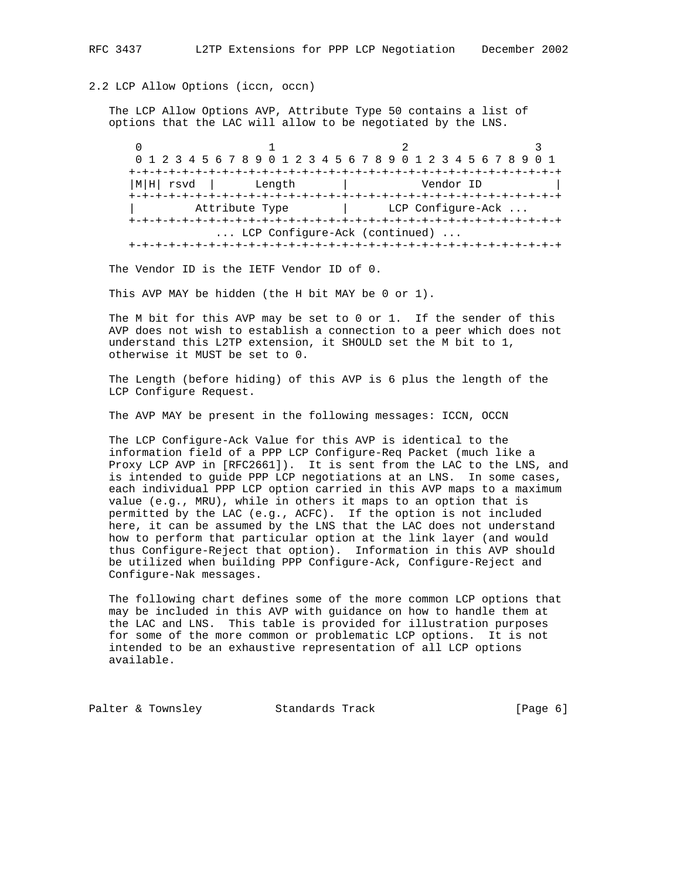## 2.2 LCP Allow Options (iccn, occn)

 The LCP Allow Options AVP, Attribute Type 50 contains a list of options that the LAC will allow to be negotiated by the LNS.

0  $1$  2 3 0 1 2 3 4 5 6 7 8 9 0 1 2 3 4 5 6 7 8 9 0 1 2 3 4 5 6 7 8 9 0 1 +-+-+-+-+-+-+-+-+-+-+-+-+-+-+-+-+-+-+-+-+-+-+-+-+-+-+-+-+-+-+-+-+ |M|H| rsvd | Length | Vendor ID | +-+-+-+-+-+-+-+-+-+-+-+-+-+-+-+-+-+-+-+-+-+-+-+-+-+-+-+-+-+-+-+-+ | Attribute Type | LCP Configure-Ack ... +-+-+-+-+-+-+-+-+-+-+-+-+-+-+-+-+-+-+-+-+-+-+-+-+-+-+-+-+-+-+-+-+ ... LCP Configure-Ack (continued) ... +-+-+-+-+-+-+-+-+-+-+-+-+-+-+-+-+-+-+-+-+-+-+-+-+-+-+-+-+-+-+-+-+

The Vendor ID is the IETF Vendor ID of 0.

This AVP MAY be hidden (the H bit MAY be 0 or 1).

 The M bit for this AVP may be set to 0 or 1. If the sender of this AVP does not wish to establish a connection to a peer which does not understand this L2TP extension, it SHOULD set the M bit to 1, otherwise it MUST be set to 0.

 The Length (before hiding) of this AVP is 6 plus the length of the LCP Configure Request.

The AVP MAY be present in the following messages: ICCN, OCCN

 The LCP Configure-Ack Value for this AVP is identical to the information field of a PPP LCP Configure-Req Packet (much like a Proxy LCP AVP in [RFC2661]). It is sent from the LAC to the LNS, and is intended to guide PPP LCP negotiations at an LNS. In some cases, each individual PPP LCP option carried in this AVP maps to a maximum value (e.g., MRU), while in others it maps to an option that is permitted by the LAC (e.g., ACFC). If the option is not included here, it can be assumed by the LNS that the LAC does not understand how to perform that particular option at the link layer (and would thus Configure-Reject that option). Information in this AVP should be utilized when building PPP Configure-Ack, Configure-Reject and Configure-Nak messages.

 The following chart defines some of the more common LCP options that may be included in this AVP with guidance on how to handle them at the LAC and LNS. This table is provided for illustration purposes for some of the more common or problematic LCP options. It is not intended to be an exhaustive representation of all LCP options available.

Palter & Townsley Standards Track [Page 6]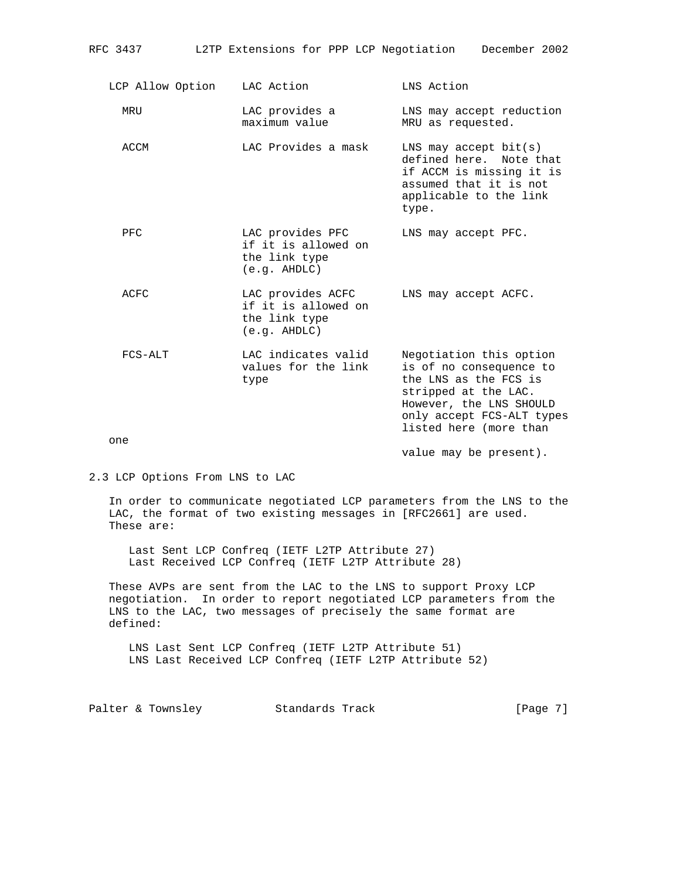| LCP Allow Option | LAC Action                                                                | LNS Action                                                                                                                                                                            |
|------------------|---------------------------------------------------------------------------|---------------------------------------------------------------------------------------------------------------------------------------------------------------------------------------|
| MRU              | LAC provides a<br>maximum value                                           | LNS may accept reduction<br>MRU as requested.                                                                                                                                         |
| ACCM             | LAC Provides a mask                                                       | LNS may accept $bit(s)$<br>defined here. Note that<br>if ACCM is missing it is<br>assumed that it is not<br>applicable to the link<br>type.                                           |
| PFC              | LAC provides PFC<br>if it is allowed on<br>the link type<br>(e,q. AHDLC)  | LNS may accept PFC.                                                                                                                                                                   |
| <b>ACFC</b>      | LAC provides ACFC<br>if it is allowed on<br>the link type<br>(e,q. AHDLC) | LNS may accept ACFC.                                                                                                                                                                  |
| FCS-ALT          | LAC indicates valid<br>values for the link<br>type                        | Negotiation this option<br>is of no consequence to<br>the LNS as the FCS is<br>stripped at the LAC.<br>However, the LNS SHOULD<br>only accept FCS-ALT types<br>listed here (more than |
| one              |                                                                           |                                                                                                                                                                                       |

value may be present).

2.3 LCP Options From LNS to LAC

 In order to communicate negotiated LCP parameters from the LNS to the LAC, the format of two existing messages in [RFC2661] are used. These are:

 Last Sent LCP Confreq (IETF L2TP Attribute 27) Last Received LCP Confreq (IETF L2TP Attribute 28)

 These AVPs are sent from the LAC to the LNS to support Proxy LCP negotiation. In order to report negotiated LCP parameters from the LNS to the LAC, two messages of precisely the same format are defined:

 LNS Last Sent LCP Confreq (IETF L2TP Attribute 51) LNS Last Received LCP Confreq (IETF L2TP Attribute 52)

Palter & Townsley Standards Track [Page 7]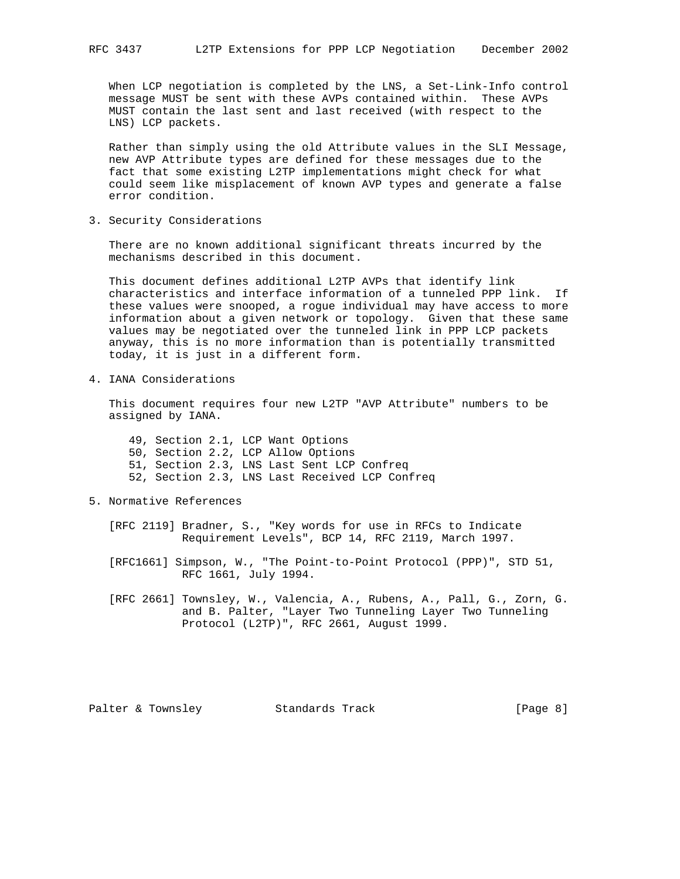When LCP negotiation is completed by the LNS, a Set-Link-Info control message MUST be sent with these AVPs contained within. These AVPs MUST contain the last sent and last received (with respect to the LNS) LCP packets.

 Rather than simply using the old Attribute values in the SLI Message, new AVP Attribute types are defined for these messages due to the fact that some existing L2TP implementations might check for what could seem like misplacement of known AVP types and generate a false error condition.

3. Security Considerations

 There are no known additional significant threats incurred by the mechanisms described in this document.

 This document defines additional L2TP AVPs that identify link characteristics and interface information of a tunneled PPP link. If these values were snooped, a rogue individual may have access to more information about a given network or topology. Given that these same values may be negotiated over the tunneled link in PPP LCP packets anyway, this is no more information than is potentially transmitted today, it is just in a different form.

4. IANA Considerations

 This document requires four new L2TP "AVP Attribute" numbers to be assigned by IANA.

 49, Section 2.1, LCP Want Options 50, Section 2.2, LCP Allow Options 51, Section 2.3, LNS Last Sent LCP Confreq 52, Section 2.3, LNS Last Received LCP Confreq

5. Normative References

 [RFC 2119] Bradner, S., "Key words for use in RFCs to Indicate Requirement Levels", BCP 14, RFC 2119, March 1997.

 [RFC1661] Simpson, W., "The Point-to-Point Protocol (PPP)", STD 51, RFC 1661, July 1994.

 [RFC 2661] Townsley, W., Valencia, A., Rubens, A., Pall, G., Zorn, G. and B. Palter, "Layer Two Tunneling Layer Two Tunneling Protocol (L2TP)", RFC 2661, August 1999.

Palter & Townsley Standards Track [Page 8]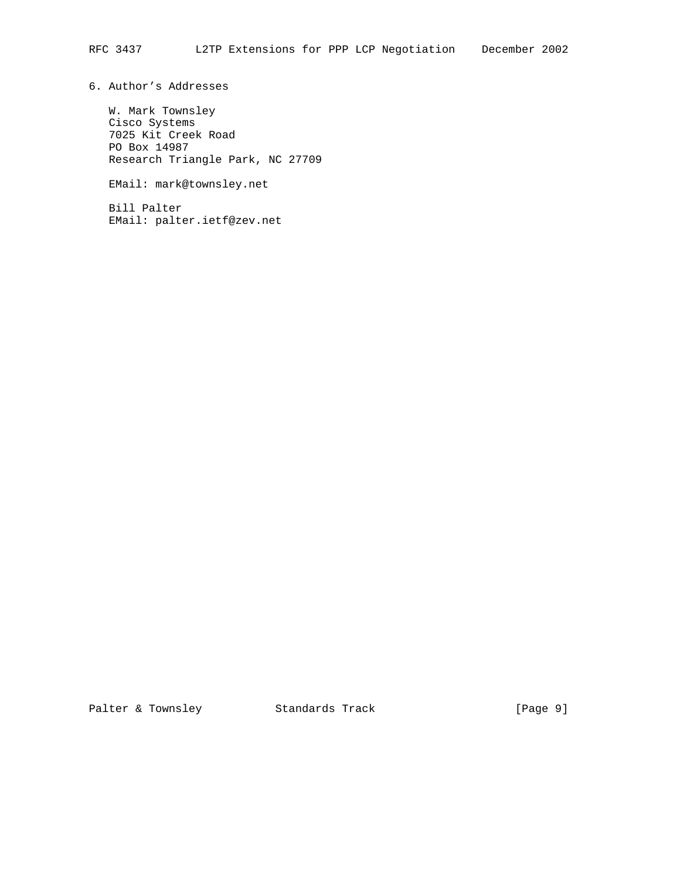6. Author's Addresses

 W. Mark Townsley Cisco Systems 7025 Kit Creek Road PO Box 14987 Research Triangle Park, NC 27709

EMail: mark@townsley.net

 Bill Palter EMail: palter.ietf@zev.net